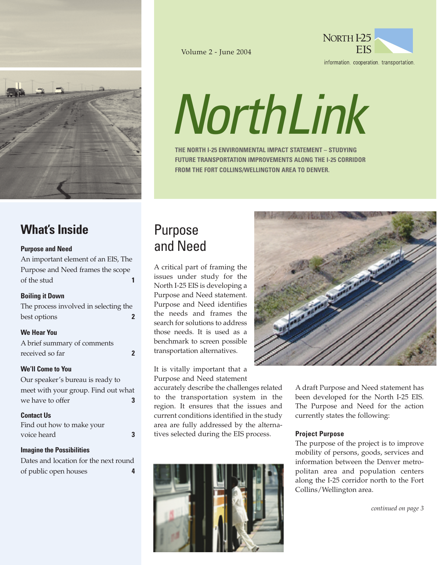

## Volume 2 - June 2004



information cooperation transportation.

# *NorthLink*

**THE NORTH I-25 ENVIRONMENTAL IMPACT STATEMENT – STUDYING FUTURE TRANSPORTATION IMPROVEMENTS ALONG THE I-25 CORRIDOR FROM THE FORT COLLINS/WELLINGTON AREA TO DENVER.**

# **What's Inside**

## **Purpose and Need**

An important element of an EIS, The Purpose and Need frames the scope of the stud **1**

## **Boiling it Down**

The process involved in selecting the best options **2**

#### **We Hear You**

A brief summary of comments received so far **2**

## **We'll Come to You**

Our speaker's bureau is ready to meet with your group. Find out what we have to offer **3** 

## **Contact Us**

Find out how to make your voice heard **3** 

**Imagine the Possibilities**

Dates and location for the next round of public open houses **4**

# Purpose and Need

A critical part of framing the issues under study for the North I-25 EIS is developing a Purpose and Need statement. Purpose and Need identifies the needs and frames the search for solutions to address those needs. It is used as a benchmark to screen possible transportation alternatives.

It is vitally important that a Purpose and Need statement

accurately describe the challenges related to the transportation system in the region. It ensures that the issues and current conditions identified in the study area are fully addressed by the alternatives selected during the EIS process.





A draft Purpose and Need statement has been developed for the North I-25 EIS. The Purpose and Need for the action currently states the following:

#### **Project Purpose**

The purpose of the project is to improve mobility of persons, goods, services and information between the Denver metropolitan area and population centers along the I-25 corridor north to the Fort Collins/Wellington area.

*continued on page 3*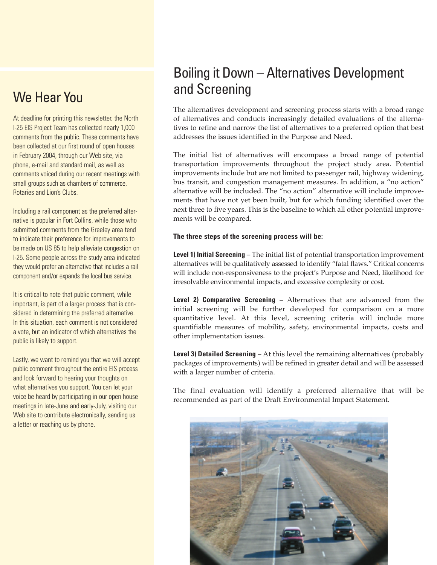# We Hear You

At deadline for printing this newsletter, the North I-25 EIS Project Team has collected nearly 1,000 comments from the public. These comments have been collected at our first round of open houses in February 2004, through our Web site, via phone, e-mail and standard mail, as well as comments voiced during our recent meetings with small groups such as chambers of commerce, Rotaries and Lion's Clubs.

Including a rail component as the preferred alternative is popular in Fort Collins, while those who submitted comments from the Greeley area tend to indicate their preference for improvements to be made on US 85 to help alleviate congestion on I-25. Some people across the study area indicated they would prefer an alternative that includes a rail component and/or expands the local bus service.

It is critical to note that public comment, while important, is part of a larger process that is considered in determining the preferred alternative. In this situation, each comment is not considered a vote, but an indicator of which alternatives the public is likely to support.

Lastly, we want to remind you that we will accept public comment throughout the entire EIS process and look forward to hearing your thoughts on what alternatives you support. You can let your voice be heard by participating in our open house meetings in late-June and early-July, visiting our Web site to contribute electronically, sending us a letter or reaching us by phone.

# Boiling it Down – Alternatives Development and Screening

The alternatives development and screening process starts with a broad range of alternatives and conducts increasingly detailed evaluations of the alternatives to refine and narrow the list of alternatives to a preferred option that best addresses the issues identified in the Purpose and Need.

The initial list of alternatives will encompass a broad range of potential transportation improvements throughout the project study area. Potential improvements include but are not limited to passenger rail, highway widening, bus transit, and congestion management measures. In addition, a "no action" alternative will be included. The "no action" alternative will include improvements that have not yet been built, but for which funding identified over the next three to five years. This is the baseline to which all other potential improvements will be compared.

# **The three steps of the screening process will be:**

**Level 1) Initial Screening** – The initial list of potential transportation improvement alternatives will be qualitatively assessed to identify "fatal flaws." Critical concerns will include non-responsiveness to the project's Purpose and Need, likelihood for irresolvable environmental impacts, and excessive complexity or cost.

**Level 2) Comparative Screening** – Alternatives that are advanced from the initial screening will be further developed for comparison on a more quantitative level. At this level, screening criteria will include more quantifiable measures of mobility, safety, environmental impacts, costs and other implementation issues.

**Level 3) Detailed Screening** – At this level the remaining alternatives (probably packages of improvements) will be refined in greater detail and will be assessed with a larger number of criteria.

The final evaluation will identify a preferred alternative that will be recommended as part of the Draft Environmental Impact Statement.

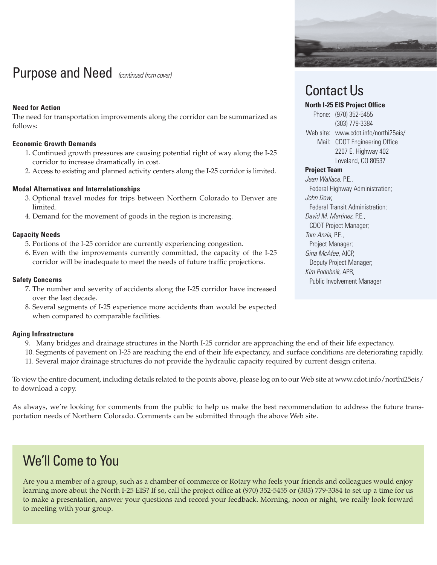# Purpose and Need *(continued from cover)*

# **Need for Action**

The need for transportation improvements along the corridor can be summarized as follows:

# **Economic Growth Demands**

- 1. Continued growth pressures are causing potential right of way along the I-25 corridor to increase dramatically in cost.
- 2. Access to existing and planned activity centers along the I-25 corridor is limited.

# **Modal Alternatives and Interrelationships**

- 3. Optional travel modes for trips between Northern Colorado to Denver are limited.
- 4. Demand for the movement of goods in the region is increasing.

## **Capacity Needs**

- 5. Portions of the I-25 corridor are currently experiencing congestion.
- 6. Even with the improvements currently committed, the capacity of the I-25 corridor will be inadequate to meet the needs of future traffic projections.

## **Safety Concerns**

- 7. The number and severity of accidents along the I-25 corridor have increased over the last decade.
- 8. Several segments of I-25 experience more accidents than would be expected when compared to comparable facilities.

## **Aging Infrastructure**

- 9. Many bridges and drainage structures in the North I-25 corridor are approaching the end of their life expectancy.
- 10. Segments of pavement on I-25 are reaching the end of their life expectancy, and surface conditions are deteriorating rapidly.
- 11. Several major drainage structures do not provide the hydraulic capacity required by current design criteria.

To view the entire document, including details related to the points above, please log on to our Web site at www.cdot.info/northi25eis/ to download a copy.

As always, we're looking for comments from the public to help us make the best recommendation to address the future transportation needs of Northern Colorado. Comments can be submitted through the above Web site.

# We'll Come to You

Are you a member of a group, such as a chamber of commerce or Rotary who feels your friends and colleagues would enjoy learning more about the North I-25 EIS? If so, call the project office at (970) 352-5455 or (303) 779-3384 to set up a time for us to make a presentation, answer your questions and record your feedback. Morning, noon or night, we really look forward to meeting with your group.



# Contact Us

# **North I-25 EIS Project Office**

Phone: (970) 352-5455 (303) 779-3384 Web site: www.cdot.info/northi25eis/ Mail: CDOT Engineering Office 2207 E. Highway 402 Loveland, CO 80537

## **Project Team**

*Jean Wallace*, P.E., Federal Highway Administration; *John Dow*, Federal Transit Administration; *David M. Martinez*, P.E., CDOT Project Manager; *Tom Anzia*, P.E., Project Manager; *Gina McAfee*, AICP, Deputy Project Manager; *Kim Podobnik*, APR, Public Involvement Manager